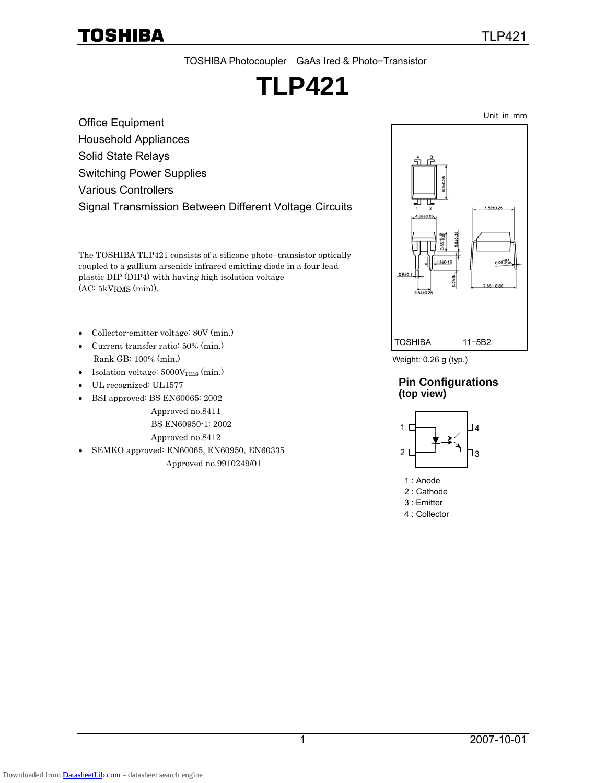#### TOSHIBA Photocoupler GaAs Ired & Photo−Transistor

# **TLP421**

Office Equipment Household Appliances Solid State Relays Switching Power Supplies Various Controllers Signal Transmission Between Different Voltage Circuits

The TOSHIBA TLP421 consists of a silicone photo−transistor optically coupled to a gallium arsenide infrared emitting diode in a four lead plastic DIP (DIP4) with having high isolation voltage (AC: 5kVRMS (min)).

- Collector-emitter voltage: 80V (min.)
- Current transfer ratio: 50% (min.) Rank GB: 100% (min.)
- Isolation voltage: 5000Vrms (min.)
- UL recognized: UL1577
- BSI approved: BS EN60065: 2002
	- Approved no.8411
		- BS EN60950-1: 2002
		- Approved no.8412
- SEMKO approved: EN60065, EN60950, EN60335

Approved no.9910249/01



Weight: 0.26 g (typ.)

#### **Pin Configurations (top view)**



- 1 : Anode
- 2 : Cathode
- 3 : Emitter
- 4 : Collector

Unit in mm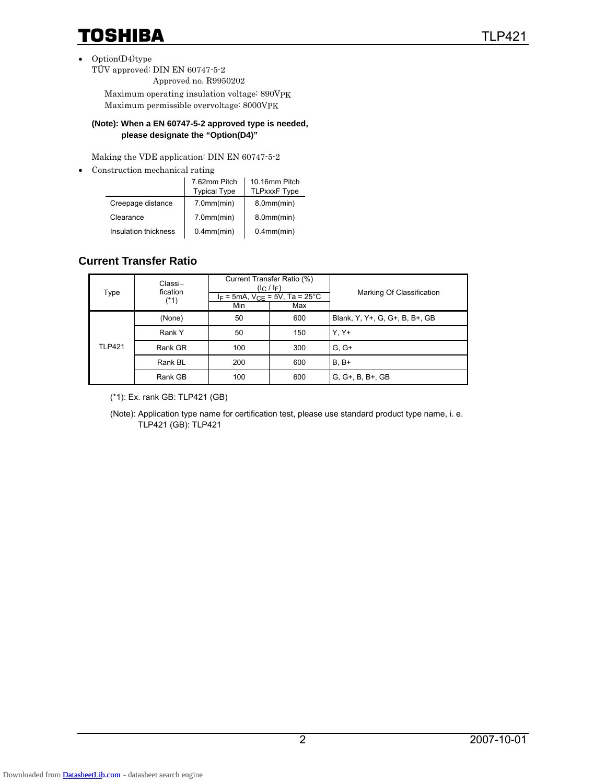- Option(D4)type
	- TÜV approved: DIN EN 60747-5-2 Approved no. R9950202

 Maximum operating insulation voltage: 890VPK Maximum permissible overvoltage: 8000VPK

#### **(Note): When a EN 60747-5-2 approved type is needed, please designate the "Option(D4)"**

Making the VDE application: DIN EN 60747-5-2

• Construction mechanical rating

|                      | 7.62mm Pitch<br><b>Typical Type</b> | 10.16mm Pitch<br><b>TLPxxxF Type</b> |
|----------------------|-------------------------------------|--------------------------------------|
| Creepage distance    | 7.0mm/min)                          | $8.0$ mm $(min)$                     |
| Clearance            | 7.0mm/min)                          | 8.0mm/min)                           |
| Insulation thickness | $0.4$ mm $(min)$                    | $0.4$ mm $(min)$                     |

### **Current Transfer Ratio**

| Type          | Classi-<br>fication<br>$(*1)$ | Current Transfer Ratio (%)<br>$(l_C / l_F)$<br>$I_F = 5mA$ , $V_{CE} = 5V$ , Ta = 25°C<br>Min<br>Max |     | Marking Of Classification      |
|---------------|-------------------------------|------------------------------------------------------------------------------------------------------|-----|--------------------------------|
|               | (None)                        | 50<br>600                                                                                            |     | Blank, Y, Y+, G, G+, B, B+, GB |
|               | Rank Y                        | 50                                                                                                   | 150 | $Y. Y+$                        |
| <b>TLP421</b> | Rank GR                       | 100                                                                                                  | 300 | $G. G+$                        |
|               | Rank BL                       | 200                                                                                                  | 600 | $B. B+$                        |
|               | Rank GB                       | 100                                                                                                  | 600 | $G, G+, B, B+, GB$             |

(\*1): Ex. rank GB: TLP421 (GB)

(Note): Application type name for certification test, please use standard product type name, i. e. TLP421 (GB): TLP421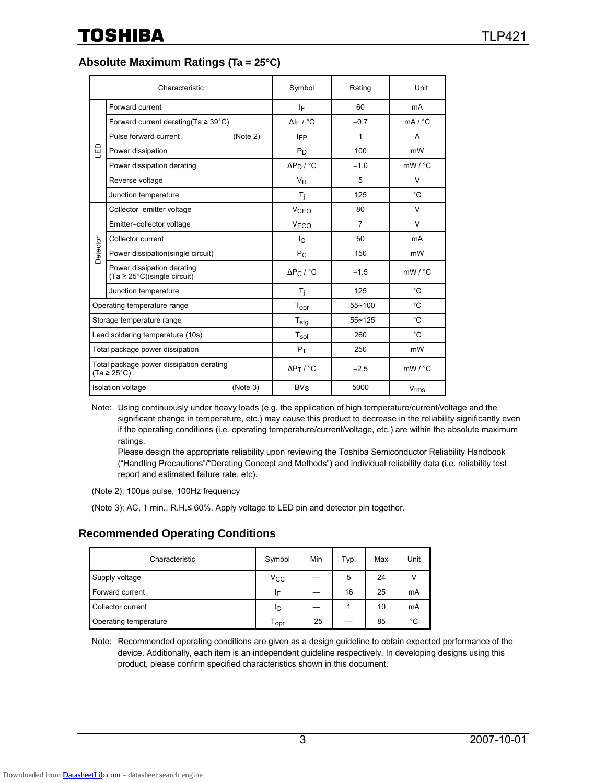**Absolute Maximum Ratings (Ta = 25°C)** 

|          | Characteristic                                                              |          | Symbol                      | Rating         | Unit               |
|----------|-----------------------------------------------------------------------------|----------|-----------------------------|----------------|--------------------|
|          | Forward current                                                             |          | IF                          | 60             | mA                 |
|          | Forward current derating (Ta $\geq$ 39°C)                                   |          | $\Delta$ <sub>IF</sub> / °C | $-0.7$         | mA / °C            |
|          | Pulse forward current                                                       | (Note 2) | <b>IFP</b>                  | 1              | A                  |
| 品        | Power dissipation                                                           |          | $P_D$                       | 100            | mW                 |
|          | Power dissipation derating                                                  |          | $\Delta P_D$ / °C           | $-1.0$         | $mW / {}^{\circ}C$ |
|          | Reverse voltage                                                             |          | <b>V<sub>R</sub></b>        | 5              | $\vee$             |
|          | Junction temperature                                                        |          | $T_j$                       | 125            | $^{\circ}C$        |
|          | Collector-emitter voltage                                                   |          | <b>V<sub>CEO</sub></b>      | 80             | V                  |
|          | Emitter-collector voltage                                                   |          | V <sub>ECO</sub>            | $\overline{7}$ | $\vee$             |
|          | Collector current                                                           |          | I <sub>C</sub>              | 50             | mA                 |
| Detector | Power dissipation(single circuit)                                           |          | $P_{C}$                     | 150            | mW                 |
|          | Power dissipation derating<br>$(Ta \ge 25^{\circ}C)(\text{single circuit})$ |          | $\Delta P_C$ / $^{\circ}$ C | $-1.5$         | $mW / {}^{\circ}C$ |
|          | Junction temperature                                                        |          | $T_i$                       | 125            | $^{\circ}C$        |
|          | Operating temperature range                                                 |          | $T_{\text{opr}}$            | $-55 - 100$    | $^{\circ}C$        |
|          | Storage temperature range                                                   |          | $T_{\text{stg}}$            | $-55 - 125$    | $^{\circ}C$        |
|          | Lead soldering temperature (10s)                                            |          | $T_{sol}$                   | 260            | $^{\circ}C$        |
|          | Total package power dissipation                                             |          | $P_T$                       | 250            | mW                 |
|          | Total package power dissipation derating<br>$(Ta \geq 25^{\circ}C)$         |          | $\Delta P_T$ / °C           | $-2.5$         | $mW / {}^{\circ}C$ |
|          | <b>Isolation voltage</b>                                                    | (Note 3) | $BV_S$                      | 5000           | $V_{rms}$          |

Note: Using continuously under heavy loads (e.g. the application of high temperature/current/voltage and the significant change in temperature, etc.) may cause this product to decrease in the reliability significantly even if the operating conditions (i.e. operating temperature/current/voltage, etc.) are within the absolute maximum ratings.

Please design the appropriate reliability upon reviewing the Toshiba Semiconductor Reliability Handbook ("Handling Precautions"/"Derating Concept and Methods") and individual reliability data (i.e. reliability test report and estimated failure rate, etc).

(Note 2): 100μs pulse, 100Hz frequency

(Note 3): AC, 1 min., R.H.≤ 60%. Apply voltage to LED pin and detector pin together.

#### **Recommended Operating Conditions**

| Characteristic        | Symbol             | Min   | Typ. | Max | Unit |
|-----------------------|--------------------|-------|------|-----|------|
| Supply voltage        | $V_{CC}$           |       | 5    | 24  |      |
| Forward current       | IF                 |       | 16   | 25  | mA   |
| Collector current     | Iс                 |       |      | 10  | mA   |
| Operating temperature | $T_{\mathsf{opr}}$ | $-25$ |      | 85  | °C   |

Note: Recommended operating conditions are given as a design guideline to obtain expected performance of the device. Additionally, each item is an independent guideline respectively. In developing designs using this product, please confirm specified characteristics shown in this document.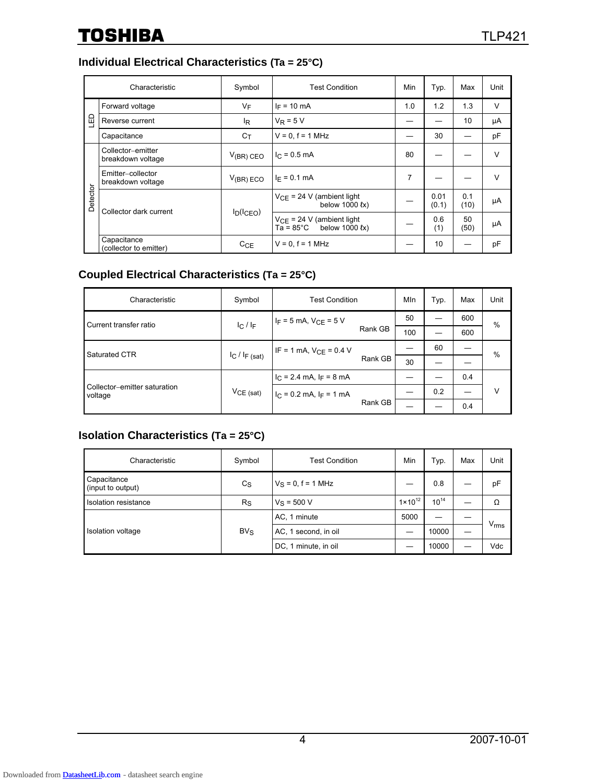### **Individual Electrical Characteristics (Ta = 25°C)**

|          | Characteristic                         | Symbol                                                        | <b>Test Condition</b>                            | Min        | Typ.          | Max         | Unit   |
|----------|----------------------------------------|---------------------------------------------------------------|--------------------------------------------------|------------|---------------|-------------|--------|
|          | Forward voltage                        | VF                                                            | $I_F = 10$ mA                                    | 1.0        | 1.2           | 1.3         | $\vee$ |
| LED      | Reverse current                        | lŖ                                                            | $V_R = 5 V$                                      |            |               | 10          | μA     |
|          | Capacitance                            | $C_{\mathsf{T}}$                                              | $V = 0, f = 1$ MHz                               |            | 30            |             | pF     |
|          | Collector-emitter<br>breakdown voltage | $V_{(BR)}$ CEO                                                | $I_C = 0.5$ mA                                   | 80         |               |             | $\vee$ |
|          | Emitter-collector<br>breakdown voltage | $V_{(BR) ECO}$                                                | $I_F = 0.1$ mA                                   | 7          |               |             | $\vee$ |
| Detector | Collector dark current<br>$I_D(ICEO)$  |                                                               | $V_{CF}$ = 24 V (ambient light<br>below 1000 (x) |            | 0.01<br>(0.1) | 0.1<br>(10) | μA     |
|          |                                        | $V_{CF}$ = 24 V (ambient light<br>Ta = 85°C<br>below 1000 (x) |                                                  | 0.6<br>(1) | 50<br>(50)    | μA          |        |
|          | Capacitance<br>(collector to emitter)  | C <sub>CE</sub>                                               | $V = 0. f = 1 MHz$                               |            | 10            |             | pF     |

### **Coupled Electrical Characteristics (Ta = 25°C)**

| Characteristic                          | Symbol      | <b>Test Condition</b>                              |         | MIn | Typ. | Max | Unit |
|-----------------------------------------|-------------|----------------------------------------------------|---------|-----|------|-----|------|
| Current transfer ratio                  | $ C $ $ F $ | $I_F = 5$ mA, $V_{CE} = 5$ V                       | 50      |     | 600  | %   |      |
|                                         |             |                                                    | Rank GB | 100 |      | 600 |      |
| Saturated CTR                           |             | IF = 1 mA, $V_{CF}$ = 0.4 V<br>$I_C$ / $I_F$ (sat) |         |     | 60   |     | $\%$ |
|                                         |             |                                                    | Rank GB | 30  |      |     |      |
|                                         |             | $I_C = 2.4$ mA, $I_F = 8$ mA                       |         |     |      | 0.4 |      |
| Collector-emitter saturation<br>voltage | $VCE$ (sat) | $I_C = 0.2$ mA, $I_F = 1$ mA                       |         |     | 0.2  |     | v    |
|                                         |             |                                                    | Rank GB |     |      | 0.4 |      |

#### **Isolation Characteristics (Ta = 25°C)**

| Characteristic                   | Symbol      | <b>Test Condition</b> | Min                | Typ.      | Max | Unit             |
|----------------------------------|-------------|-----------------------|--------------------|-----------|-----|------------------|
| Capacitance<br>(input to output) | $C_{S}$     | $V_S = 0, f = 1$ MHz  |                    | 0.8       |     | pF               |
| Isolation resistance             | $R_{\rm S}$ | $V_S = 500 V$         | $1 \times 10^{12}$ | $10^{14}$ |     | Ω                |
| Isolation voltage                | $BV_S$      | AC, 1 minute          | 5000               |           |     | $V_{\text{rms}}$ |
|                                  |             | AC, 1 second, in oil  |                    | 10000     |     |                  |
|                                  |             | DC, 1 minute, in oil  |                    | 10000     |     | Vdc              |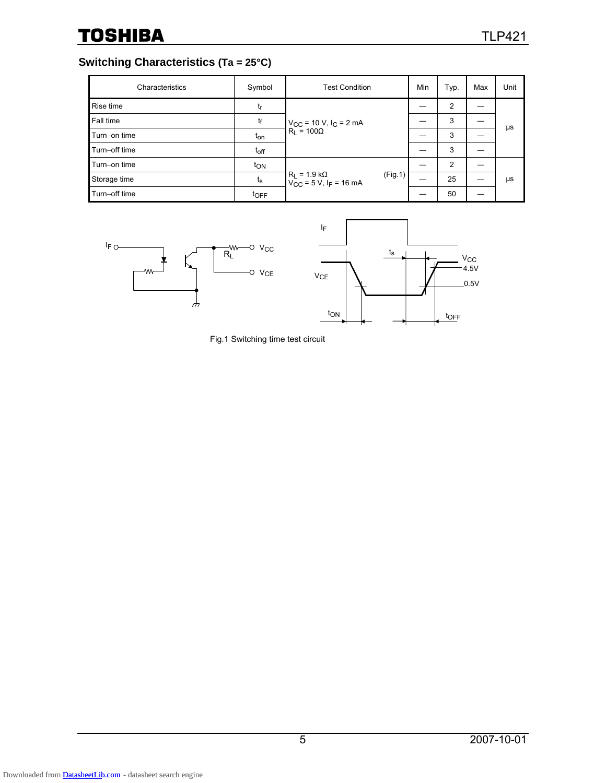### **Switching Characteristics (Ta = 25°C)**

| Characteristics | Symbol           | <b>Test Condition</b>                                                      | Min | Typ. | Max | Unit |
|-----------------|------------------|----------------------------------------------------------------------------|-----|------|-----|------|
| Rise time       | tr               |                                                                            |     | 2    |     | μs   |
| Fall time       | tf               | $V_{CC}$ = 10 V, $I_C$ = 2 mA                                              |     | 3    |     |      |
| Turn-on time    | t <sub>on</sub>  | $R_1 = 100\Omega$                                                          |     | 3    |     |      |
| Turn-off time   | $t_{off}$        |                                                                            |     | 3    |     |      |
| Turn-on time    | ton              |                                                                            |     | 2    |     |      |
| Storage time    | $t_{\rm S}$      | $R_L$ = 1.9 kΩ<br>V <sub>CC</sub> = 5 V, l <sub>F</sub> = 16 mA<br>(Fig.1) |     | 25   |     | μs   |
| Turn-off time   | t <sub>OFF</sub> |                                                                            |     | 50   |     |      |



Fig.1 Switching time test circuit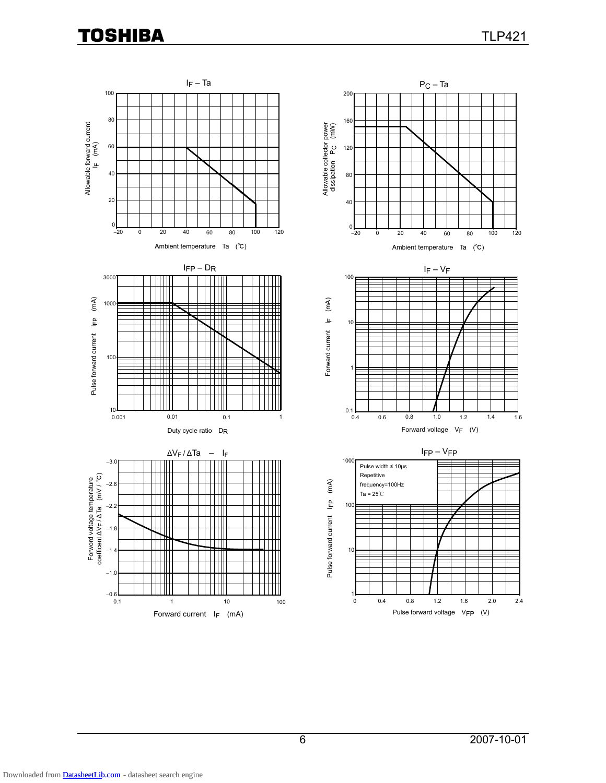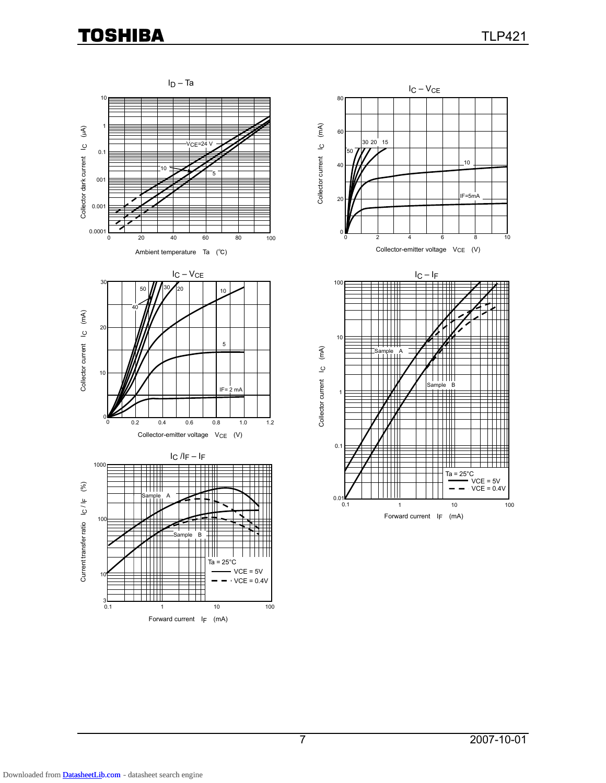

7 2007-10-01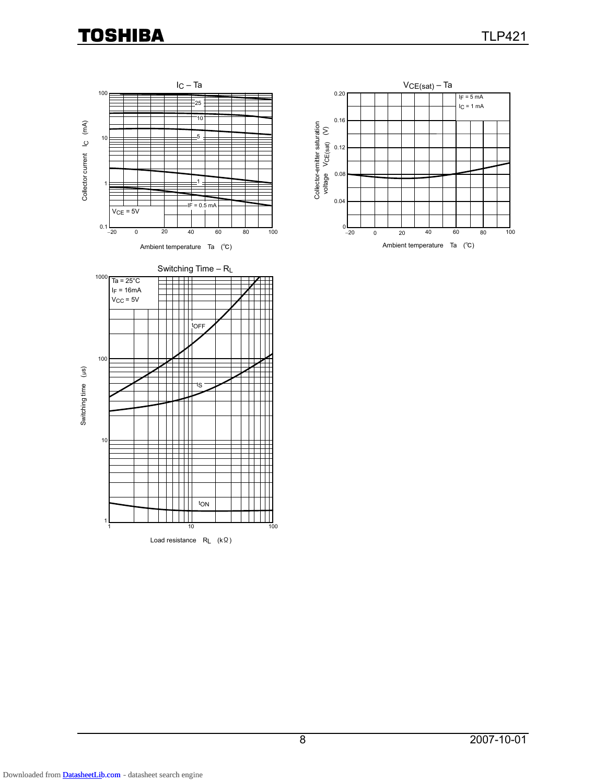



Switching Time – RL 1000  $Ta = 25^{\circ}C$  $\Box$  $I_F = 16mA$  $\Box$  $V_{CC}$  = 5V П tOFF 100 Switching time (µs) Switching time (μs) Ħ tS Η 10 Ш ╥ Ш  $\Box$ tON  $\mathbf{||}$ 1 10 1 100 Load resistance RL (kΩ)